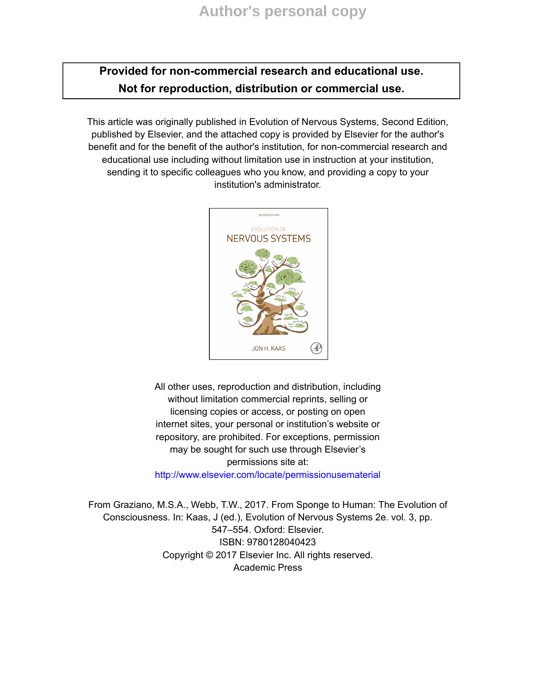# **Provided for non-commercial research and educational use. Not for reproduction, distribution or commercial use.**

This article was originally published in Evolution of Nervous Systems, Second Edition, published by Elsevier, and the attached copy is provided by Elsevier for the author's benefit and for the benefit of the author's institution, for non-commercial research and educational use including without limitation use in instruction at your institution, sending it to specific colleagues who you know, and providing a copy to your institution's administrator.



All other uses, reproduction and distribution, including without limitation commercial reprints, selling or licensing copies or access, or posting on open internet sites, your personal or institution's website or repository, are prohibited. For exceptions, permission may be sought for such use through Elsevier's permissions site at: <http://www.elsevier.com/locate/permissionusematerial>

From Graziano, M.S.A., Webb, T.W., 2017. From Sponge to Human: The Evolution of Consciousness. In: Kaas, J (ed.), Evolution of Nervous Systems 2e. vol. 3, pp. 547–554. Oxford: Elsevier. ISBN: 9780128040423 Copyright © 2017 Elsevier Inc. All rights reserved. Academic Press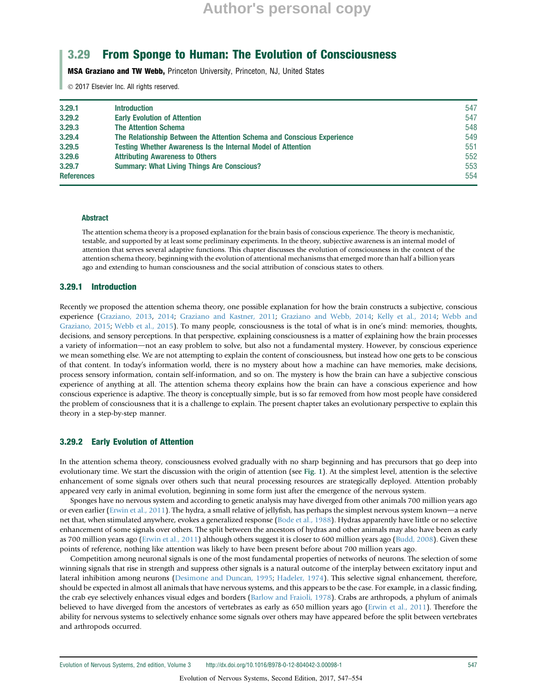## 3.29 From Sponge to Human: The Evolution of Consciousness

MSA Graziano and TW Webb, Princeton University, Princeton, NJ, United States

2017 Elsevier Inc. All rights reserved.

| 3.29.1            | <b>Introduction</b>                                                    | 547 |
|-------------------|------------------------------------------------------------------------|-----|
| 3.29.2            | <b>Early Evolution of Attention</b>                                    | 547 |
| 3.29.3            | <b>The Attention Schema</b>                                            | 548 |
| 3.29.4            | The Relationship Between the Attention Schema and Conscious Experience | 549 |
| 3.29.5            | <b>Testing Whether Awareness Is the Internal Model of Attention</b>    | 551 |
| 3.29.6            | <b>Attributing Awareness to Others</b>                                 | 552 |
| 3.29.7            | <b>Summary: What Living Things Are Conscious?</b>                      | 553 |
| <b>References</b> |                                                                        | 554 |

### Abstract

The attention schema theory is a proposed explanation for the brain basis of conscious experience. The theory is mechanistic, testable, and supported by at least some preliminary experiments. In the theory, subjective awareness is an internal model of attention that serves several adaptive functions. This chapter discusses the evolution of consciousness in the context of the attention schema theory, beginning with the evolution of attentional mechanisms that emerged more than half a billion years ago and extending to human consciousness and the social attribution of conscious states to others.

### 3.29.1 Introduction

Recently we proposed the attention schema theory, one possible explanation for how the brain constructs a subjective, conscious experience (Graziano, 2013, 2014; Graziano and Kastner, 2011; Graziano and Webb, 2014; Kelly et al., 2014; Webb and Graziano, 2015; Webb et al., 2015). To many people, consciousness is the total of what is in one's mind: memories, thoughts, decisions, and sensory perceptions. In that perspective, explaining consciousness is a matter of explaining how the brain processes a variety of information—not an easy problem to solve, but also not a fundamental mystery. However, by conscious experience we mean something else. We are not attempting to explain the content of consciousness, but instead how one gets to be conscious of that content. In today's information world, there is no mystery about how a machine can have memories, make decisions, process sensory information, contain self-information, and so on. The mystery is how the brain can have a subjective conscious experience of anything at all. The attention schema theory explains how the brain can have a conscious experience and how conscious experience is adaptive. The theory is conceptually simple, but is so far removed from how most people have considered the problem of consciousness that it is a challenge to explain. The present chapter takes an evolutionary perspective to explain this theory in a step-by-step manner.

### 3.29.2 Early Evolution of Attention

In the attention schema theory, consciousness evolved gradually with no sharp beginning and has precursors that go deep into evolutionary time. We start the discussion with the origin of attention (see Fig. 1). At the simplest level, attention is the selective enhancement of some signals over others such that neural processing resources are strategically deployed. Attention probably appeared very early in animal evolution, beginning in some form just after the emergence of the nervous system.

Sponges have no nervous system and according to genetic analysis may have diverged from other animals 700 million years ago or even earlier (Erwin et al., 2011). The hydra, a small relative of jellyfish, has perhaps the simplest nervous system known—a nerve net that, when stimulated anywhere, evokes a generalized response (Bode et al., 1988). Hydras apparently have little or no selective enhancement of some signals over others. The split between the ancestors of hydras and other animals may also have been as early as 700 million years ago (Erwin et al., 2011) although others suggest it is closer to 600 million years ago (Budd, 2008). Given these points of reference, nothing like attention was likely to have been present before about 700 million years ago.

Competition among neuronal signals is one of the most fundamental properties of networks of neurons. The selection of some winning signals that rise in strength and suppress other signals is a natural outcome of the interplay between excitatory input and lateral inhibition among neurons (Desimone and Duncan, 1995; Hadeler, 1974). This selective signal enhancement, therefore, should be expected in almost all animals that have nervous systems, and this appears to be the case. For example, in a classic finding, the crab eye selectively enhances visual edges and borders (Barlow and Fraioli, 1978). Crabs are arthropods, a phylum of animals believed to have diverged from the ancestors of vertebrates as early as 650 million years ago (Erwin et al., 2011). Therefore the ability for nervous systems to selectively enhance some signals over others may have appeared before the split between vertebrates and arthropods occurred.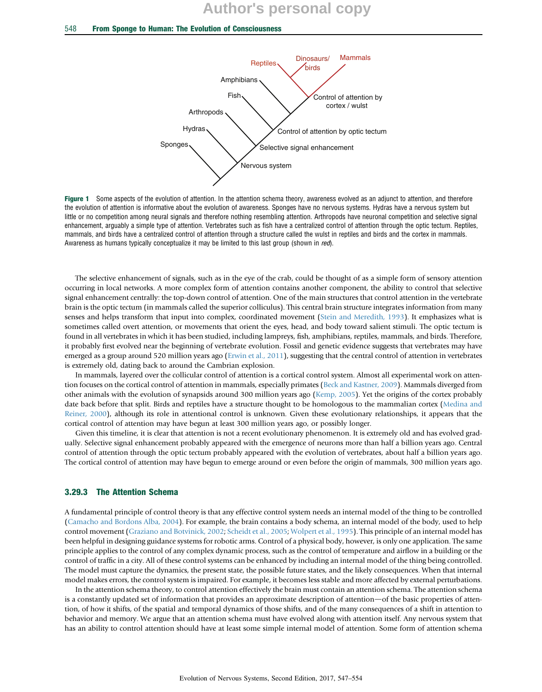

Figure 1 Some aspects of the evolution of attention. In the attention schema theory, awareness evolved as an adjunct to attention, and therefore the evolution of attention is informative about the evolution of awareness. Sponges have no nervous systems. Hydras have a nervous system but little or no competition among neural signals and therefore nothing resembling attention. Arthropods have neuronal competition and selective signal enhancement, arguably a simple type of attention. Vertebrates such as fish have a centralized control of attention through the optic tectum. Reptiles, mammals, and birds have a centralized control of attention through a structure called the wulst in reptiles and birds and the cortex in mammals. Awareness as humans typically conceptualize it may be limited to this last group (shown in red).

The selective enhancement of signals, such as in the eye of the crab, could be thought of as a simple form of sensory attention occurring in local networks. A more complex form of attention contains another component, the ability to control that selective signal enhancement centrally: the top-down control of attention. One of the main structures that control attention in the vertebrate brain is the optic tectum (in mammals called the superior colliculus). This central brain structure integrates information from many senses and helps transform that input into complex, coordinated movement (Stein and Meredith, 1993). It emphasizes what is sometimes called overt attention, or movements that orient the eyes, head, and body toward salient stimuli. The optic tectum is found in all vertebrates in which it has been studied, including lampreys, fish, amphibians, reptiles, mammals, and birds. Therefore, it probably first evolved near the beginning of vertebrate evolution. Fossil and genetic evidence suggests that vertebrates may have emerged as a group around 520 million years ago (Erwin et al., 2011), suggesting that the central control of attention in vertebrates is extremely old, dating back to around the Cambrian explosion.

In mammals, layered over the collicular control of attention is a cortical control system. Almost all experimental work on attention focuses on the cortical control of attention in mammals, especially primates (Beck and Kastner, 2009). Mammals diverged from other animals with the evolution of synapsids around 300 million years ago (Kemp, 2005). Yet the origins of the cortex probably date back before that split. Birds and reptiles have a structure thought to be homologous to the mammalian cortex (Medina and Reiner, 2000), although its role in attentional control is unknown. Given these evolutionary relationships, it appears that the cortical control of attention may have begun at least 300 million years ago, or possibly longer.

Given this timeline, it is clear that attention is not a recent evolutionary phenomenon. It is extremely old and has evolved gradually. Selective signal enhancement probably appeared with the emergence of neurons more than half a billion years ago. Central control of attention through the optic tectum probably appeared with the evolution of vertebrates, about half a billion years ago. The cortical control of attention may have begun to emerge around or even before the origin of mammals, 300 million years ago.

### 3.29.3 The Attention Schema

A fundamental principle of control theory is that any effective control system needs an internal model of the thing to be controlled (Camacho and Bordons Alba, 2004). For example, the brain contains a body schema, an internal model of the body, used to help control movement (Graziano and Botvinick, 2002; Scheidt et al., 2005; Wolpert et al., 1995). This principle of an internal model has been helpful in designing guidance systems for robotic arms. Control of a physical body, however, is only one application. The same principle applies to the control of any complex dynamic process, such as the control of temperature and airflow in a building or the control of traffic in a city. All of these control systems can be enhanced by including an internal model of the thing being controlled. The model must capture the dynamics, the present state, the possible future states, and the likely consequences. When that internal model makes errors, the control system is impaired. For example, it becomes less stable and more affected by external perturbations.

In the attention schema theory, to control attention effectively the brain must contain an attention schema. The attention schema is a constantly updated set of information that provides an approximate description of attention—of the basic properties of attention, of how it shifts, of the spatial and temporal dynamics of those shifts, and of the many consequences of a shift in attention to behavior and memory. We argue that an attention schema must have evolved along with attention itself. Any nervous system that has an ability to control attention should have at least some simple internal model of attention. Some form of attention schema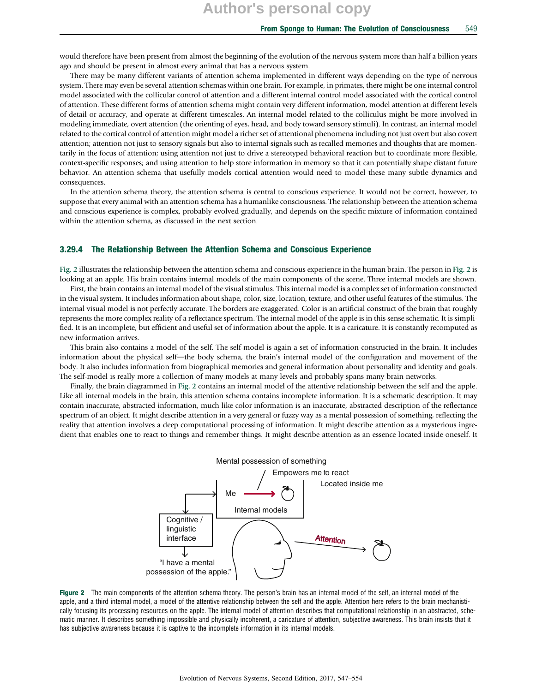would therefore have been present from almost the beginning of the evolution of the nervous system more than half a billion years ago and should be present in almost every animal that has a nervous system.

There may be many different variants of attention schema implemented in different ways depending on the type of nervous system. There may even be several attention schemas within one brain. For example, in primates, there might be one internal control model associated with the collicular control of attention and a different internal control model associated with the cortical control of attention. These different forms of attention schema might contain very different information, model attention at different levels of detail or accuracy, and operate at different timescales. An internal model related to the colliculus might be more involved in modeling immediate, overt attention (the orienting of eyes, head, and body toward sensory stimuli). In contrast, an internal model related to the cortical control of attention might model a richer set of attentional phenomena including not just overt but also covert attention; attention not just to sensory signals but also to internal signals such as recalled memories and thoughts that are momentarily in the focus of attention; using attention not just to drive a stereotyped behavioral reaction but to coordinate more flexible, context-specific responses; and using attention to help store information in memory so that it can potentially shape distant future behavior. An attention schema that usefully models cortical attention would need to model these many subtle dynamics and consequences.

In the attention schema theory, the attention schema is central to conscious experience. It would not be correct, however, to suppose that every animal with an attention schema has a humanlike consciousness. The relationship between the attention schema and conscious experience is complex, probably evolved gradually, and depends on the specific mixture of information contained within the attention schema, as discussed in the next section.

#### 3.29.4 The Relationship Between the Attention Schema and Conscious Experience

Fig. 2 illustrates the relationship between the attention schema and conscious experience in the human brain. The person in Fig. 2 is looking at an apple. His brain contains internal models of the main components of the scene. Three internal models are shown.

First, the brain contains an internal model of the visual stimulus. This internal model is a complex set of information constructed in the visual system. It includes information about shape, color, size, location, texture, and other useful features of the stimulus. The internal visual model is not perfectly accurate. The borders are exaggerated. Color is an artificial construct of the brain that roughly represents the more complex reality of a reflectance spectrum. The internal model of the apple is in this sense schematic. It is simplified. It is an incomplete, but efficient and useful set of information about the apple. It is a caricature. It is constantly recomputed as new information arrives.

This brain also contains a model of the self. The self-model is again a set of information constructed in the brain. It includes information about the physical self—the body schema, the brain's internal model of the configuration and movement of the body. It also includes information from biographical memories and general information about personality and identity and goals. The self-model is really more a collection of many models at many levels and probably spans many brain networks.

Finally, the brain diagrammed in Fig. 2 contains an internal model of the attentive relationship between the self and the apple. Like all internal models in the brain, this attention schema contains incomplete information. It is a schematic description. It may contain inaccurate, abstracted information, much like color information is an inaccurate, abstracted description of the reflectance spectrum of an object. It might describe attention in a very general or fuzzy way as a mental possession of something, reflecting the reality that attention involves a deep computational processing of information. It might describe attention as a mysterious ingredient that enables one to react to things and remember things. It might describe attention as an essence located inside oneself. It



Figure 2 The main components of the attention schema theory. The person's brain has an internal model of the self, an internal model of the apple, and a third internal model, a model of the attentive relationship between the self and the apple. Attention here refers to the brain mechanistically focusing its processing resources on the apple. The internal model of attention describes that computational relationship in an abstracted, schematic manner. It describes something impossible and physically incoherent, a caricature of attention, subjective awareness. This brain insists that it has subjective awareness because it is captive to the incomplete information in its internal models.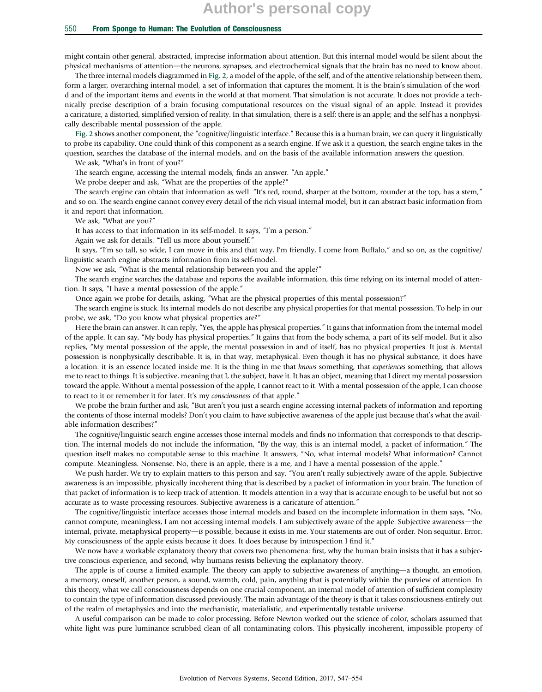#### 550 From Sponge to Human: The Evolution of Consciousness

might contain other general, abstracted, imprecise information about attention. But this internal model would be silent about the physical mechanisms of attention—the neurons, synapses, and electrochemical signals that the brain has no need to know about.

The three internal models diagrammed in Fig. 2, a model of the apple, of the self, and of the attentive relationship between them, form a larger, overarching internal model, a set of information that captures the moment. It is the brain's simulation of the world and of the important items and events in the world at that moment. That simulation is not accurate. It does not provide a technically precise description of a brain focusing computational resources on the visual signal of an apple. Instead it provides a caricature, a distorted, simplified version of reality. In that simulation, there is a self; there is an apple; and the self has a nonphysically describable mental possession of the apple.

Fig. 2 shows another component, the "cognitive/linguistic interface." Because this is a human brain, we can query it linguistically to probe its capability. One could think of this component as a search engine. If we ask it a question, the search engine takes in the question, searches the database of the internal models, and on the basis of the available information answers the question.

We ask, "What's in front of you?"

The search engine, accessing the internal models, finds an answer. "An apple."

We probe deeper and ask, "What are the properties of the apple?"

The search engine can obtain that information as well. "It's red, round, sharper at the bottom, rounder at the top, has a stem," and so on. The search engine cannot convey every detail of the rich visual internal model, but it can abstract basic information from it and report that information.

We ask, "What are you?"

It has access to that information in its self-model. It says, "I'm a person."

Again we ask for details. "Tell us more about yourself."

It says, "I'm so tall, so wide, I can move in this and that way, I'm friendly, I come from Buffalo," and so on, as the cognitive/ linguistic search engine abstracts information from its self-model.

Now we ask, "What is the mental relationship between you and the apple?"

The search engine searches the database and reports the available information, this time relying on its internal model of attention. It says, "I have a mental possession of the apple."

Once again we probe for details, asking, "What are the physical properties of this mental possession?"

The search engine is stuck. Its internal models do not describe any physical properties for that mental possession. To help in our probe, we ask, "Do you know what physical properties are?"

Here the brain can answer. It can reply, "Yes, the apple has physical properties." It gains that information from the internal model of the apple. It can say, "My body has physical properties." It gains that from the body schema, a part of its self-model. But it also replies, "My mental possession of the apple, the mental possession in and of itself, has no physical properties. It just is. Mental possession is nonphysically describable. It is, in that way, metaphysical. Even though it has no physical substance, it does have a location: it is an essence located inside me. It is the thing in me that knows something, that experiences something, that allows me to react to things. It is subjective, meaning that I, the subject, have it. It has an object, meaning that I direct my mental possession toward the apple. Without a mental possession of the apple, I cannot react to it. With a mental possession of the apple, I can choose to react to it or remember it for later. It's my consciousness of that apple."

We probe the brain further and ask, "But aren't you just a search engine accessing internal packets of information and reporting the contents of those internal models? Don't you claim to have subjective awareness of the apple just because that's what the available information describes?"

The cognitive/linguistic search engine accesses those internal models and finds no information that corresponds to that description. The internal models do not include the information, "By the way, this is an internal model, a packet of information." The question itself makes no computable sense to this machine. It answers, "No, what internal models? What information? Cannot compute. Meaningless. Nonsense. No, there is an apple, there is a me, and I have a mental possession of the apple."

We push harder. We try to explain matters to this person and say, "You aren't really subjectively aware of the apple. Subjective awareness is an impossible, physically incoherent thing that is described by a packet of information in your brain. The function of that packet of information is to keep track of attention. It models attention in a way that is accurate enough to be useful but not so accurate as to waste processing resources. Subjective awareness is a caricature of attention."

The cognitive/linguistic interface accesses those internal models and based on the incomplete information in them says, "No, cannot compute, meaningless, I am not accessing internal models. I am subjectively aware of the apple. Subjective awareness—the internal, private, metaphysical property-is possible, because it exists in me. Your statements are out of order. Non sequitur. Error. My consciousness of the apple exists because it does. It does because by introspection I find it."

We now have a workable explanatory theory that covers two phenomena: first, why the human brain insists that it has a subjective conscious experience, and second, why humans resists believing the explanatory theory.

The apple is of course a limited example. The theory can apply to subjective awareness of anything—a thought, an emotion, a memory, oneself, another person, a sound, warmth, cold, pain, anything that is potentially within the purview of attention. In this theory, what we call consciousness depends on one crucial component, an internal model of attention of sufficient complexity to contain the type of information discussed previously. The main advantage of the theory is that it takes consciousness entirely out of the realm of metaphysics and into the mechanistic, materialistic, and experimentally testable universe.

A useful comparison can be made to color processing. Before Newton worked out the science of color, scholars assumed that white light was pure luminance scrubbed clean of all contaminating colors. This physically incoherent, impossible property of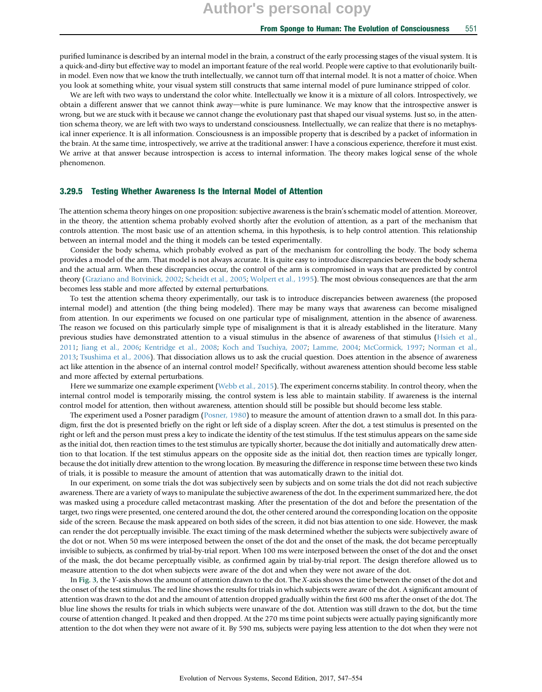purified luminance is described by an internal model in the brain, a construct of the early processing stages of the visual system. It is a quick-and-dirty but effective way to model an important feature of the real world. People were captive to that evolutionarily builtin model. Even now that we know the truth intellectually, we cannot turn off that internal model. It is not a matter of choice. When you look at something white, your visual system still constructs that same internal model of pure luminance stripped of color.

We are left with two ways to understand the color white. Intellectually we know it is a mixture of all colors. Introspectively, we obtain a different answer that we cannot think away—white is pure luminance. We may know that the introspective answer is wrong, but we are stuck with it because we cannot change the evolutionary past that shaped our visual systems. Just so, in the attention schema theory, we are left with two ways to understand consciousness. Intellectually, we can realize that there is no metaphysical inner experience. It is all information. Consciousness is an impossible property that is described by a packet of information in the brain. At the same time, introspectively, we arrive at the traditional answer: I have a conscious experience, therefore it must exist. We arrive at that answer because introspection is access to internal information. The theory makes logical sense of the whole phenomenon.

#### 3.29.5 Testing Whether Awareness Is the Internal Model of Attention

The attention schema theory hinges on one proposition: subjective awareness is the brain's schematic model of attention. Moreover, in the theory, the attention schema probably evolved shortly after the evolution of attention, as a part of the mechanism that controls attention. The most basic use of an attention schema, in this hypothesis, is to help control attention. This relationship between an internal model and the thing it models can be tested experimentally.

Consider the body schema, which probably evolved as part of the mechanism for controlling the body. The body schema provides a model of the arm. That model is not always accurate. It is quite easy to introduce discrepancies between the body schema and the actual arm. When these discrepancies occur, the control of the arm is compromised in ways that are predicted by control theory (Graziano and Botvinick, 2002; Scheidt et al., 2005; Wolpert et al., 1995). The most obvious consequences are that the arm becomes less stable and more affected by external perturbations.

To test the attention schema theory experimentally, our task is to introduce discrepancies between awareness (the proposed internal model) and attention (the thing being modeled). There may be many ways that awareness can become misaligned from attention. In our experiments we focused on one particular type of misalignment, attention in the absence of awareness. The reason we focused on this particularly simple type of misalignment is that it is already established in the literature. Many previous studies have demonstrated attention to a visual stimulus in the absence of awareness of that stimulus (Hsieh et al., 2011; Jiang et al., 2006; Kentridge et al., 2008; Koch and Tsuchiya, 2007; Lamme, 2004; McCormick, 1997; Norman et al., 2013; Tsushima et al., 2006). That dissociation allows us to ask the crucial question. Does attention in the absence of awareness act like attention in the absence of an internal control model? Specifically, without awareness attention should become less stable and more affected by external perturbations.

Here we summarize one example experiment (Webb et al., 2015). The experiment concerns stability. In control theory, when the internal control model is temporarily missing, the control system is less able to maintain stability. If awareness is the internal control model for attention, then without awareness, attention should still be possible but should become less stable.

The experiment used a Posner paradigm (Posner, 1980) to measure the amount of attention drawn to a small dot. In this paradigm, first the dot is presented briefly on the right or left side of a display screen. After the dot, a test stimulus is presented on the right or left and the person must press a key to indicate the identity of the test stimulus. If the test stimulus appears on the same side as the initial dot, then reaction times to the test stimulus are typically shorter, because the dot initially and automatically drew attention to that location. If the test stimulus appears on the opposite side as the initial dot, then reaction times are typically longer, because the dot initially drew attention to the wrong location. By measuring the difference in response time between these two kinds of trials, it is possible to measure the amount of attention that was automatically drawn to the initial dot.

In our experiment, on some trials the dot was subjectively seen by subjects and on some trials the dot did not reach subjective awareness. There are a variety of ways to manipulate the subjective awareness of the dot. In the experiment summarized here, the dot was masked using a procedure called metacontrast masking. After the presentation of the dot and before the presentation of the target, two rings were presented, one centered around the dot, the other centered around the corresponding location on the opposite side of the screen. Because the mask appeared on both sides of the screen, it did not bias attention to one side. However, the mask can render the dot perceptually invisible. The exact timing of the mask determined whether the subjects were subjectively aware of the dot or not. When 50 ms were interposed between the onset of the dot and the onset of the mask, the dot became perceptually invisible to subjects, as confirmed by trial-by-trial report. When 100 ms were interposed between the onset of the dot and the onset of the mask, the dot became perceptually visible, as confirmed again by trial-by-trial report. The design therefore allowed us to measure attention to the dot when subjects were aware of the dot and when they were not aware of the dot.

In Fig. 3, the <sup>Y</sup>-axis shows the amount of attention drawn to the dot. The <sup>X</sup>-axis shows the time between the onset of the dot and the onset of the test stimulus. The red line shows the results for trials in which subjects were aware of the dot. A significant amount of attention was drawn to the dot and the amount of attention dropped gradually within the first 600 ms after the onset of the dot. The blue line shows the results for trials in which subjects were unaware of the dot. Attention was still drawn to the dot, but the time course of attention changed. It peaked and then dropped. At the 270 ms time point subjects were actually paying significantly more attention to the dot when they were not aware of it. By 590 ms, subjects were paying less attention to the dot when they were not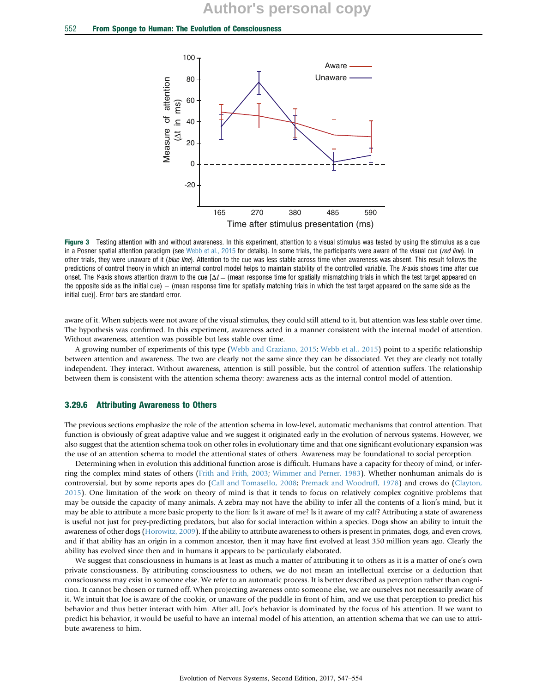

Figure 3 Testing attention with and without awareness. In this experiment, attention to a visual stimulus was tested by using the stimulus as a cue in a Posner spatial attention paradigm (see Webb et al., 2015 for details). In some trials, the participants were aware of the visual cue (red line). In other trials, they were unaware of it (blue line). Attention to the cue was less stable across time when awareness was absent. This result follows the predictions of control theory in which an internal control model helps to maintain stability of the controlled variable. The X-axis shows time after cue onset. The Y-axis shows attention drawn to the cue  $[\Delta t = (mean$  response time for spatially mismatching trials in which the test target appeared on the opposite side as the initial cue) — (mean response time for spatially matching trials in which the test target appeared on the same side as the<br>. initial cue)]. Error bars are standard error.

aware of it. When subjects were not aware of the visual stimulus, they could still attend to it, but attention was less stable over time. The hypothesis was confirmed. In this experiment, awareness acted in a manner consistent with the internal model of attention. Without awareness, attention was possible but less stable over time.

A growing number of experiments of this type (Webb and Graziano, 2015; Webb et al., 2015) point to a specific relationship between attention and awareness. The two are clearly not the same since they can be dissociated. Yet they are clearly not totally independent. They interact. Without awareness, attention is still possible, but the control of attention suffers. The relationship between them is consistent with the attention schema theory: awareness acts as the internal control model of attention.

### 3.29.6 Attributing Awareness to Others

The previous sections emphasize the role of the attention schema in low-level, automatic mechanisms that control attention. That function is obviously of great adaptive value and we suggest it originated early in the evolution of nervous systems. However, we also suggest that the attention schema took on other roles in evolutionary time and that one significant evolutionary expansion was the use of an attention schema to model the attentional states of others. Awareness may be foundational to social perception.

Determining when in evolution this additional function arose is difficult. Humans have a capacity for theory of mind, or inferring the complex mind states of others (Frith and Frith, 2003; Wimmer and Perner, 1983). Whether nonhuman animals do is controversial, but by some reports apes do (Call and Tomasello, 2008; Premack and Woodruff, 1978) and crows do (Clayton, 2015). One limitation of the work on theory of mind is that it tends to focus on relatively complex cognitive problems that may be outside the capacity of many animals. A zebra may not have the ability to infer all the contents of a lion's mind, but it may be able to attribute a more basic property to the lion: Is it aware of me? Is it aware of my calf? Attributing a state of awareness is useful not just for prey-predicting predators, but also for social interaction within a species. Dogs show an ability to intuit the awareness of other dogs (Horowitz, 2009). If the ability to attribute awareness to others is present in primates, dogs, and even crows, and if that ability has an origin in a common ancestor, then it may have first evolved at least 350 million years ago. Clearly the ability has evolved since then and in humans it appears to be particularly elaborated. **Example 12**<br> **Example 12**<br> **Example 12**<br> **Example 12**<br> **Example 12**<br> **Example 12**<br> **Example 12**<br> **Example 12**<br> **Example 12**<br> **Example 12**<br> **Example 12**<br> **Example 12**<br> **Example 12**<br> **Example 12**<br> **Example 12**<br> **Example 12** 

We suggest that consciousness in humans is at least as much a matter of attributing it to others as it is a matter of one's own private consciousness. By attributing consciousness to others, we do not mean an intellectual exercise or a deduction that consciousness may exist in someone else. We refer to an automatic process. It is better described as perception rather than cognition. It cannot be chosen or turned off. When projecting awareness onto someone else, we are ourselves not necessarily aware of it. We intuit that Joe is aware of the cookie, or unaware of the puddle in front of him, and we use that perception to predict his behavior and thus better interact with him. After all, Joe's behavior is dominated by the focus of his attention. If we want to predict his behavior, it would be useful to have an internal model of his attention, an attention schema that we can use to attribute awareness to him.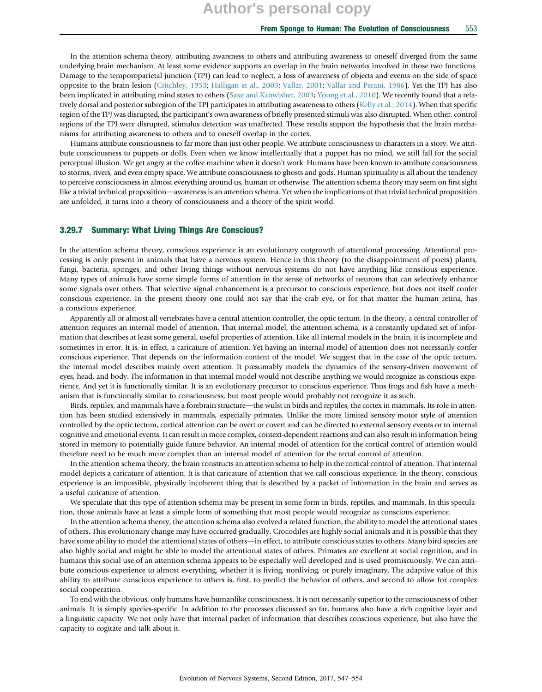In the attention schema theory, attributing awareness to others and attributing awareness to oneself diverged from the same underlying brain mechanism. At least some evidence supports an overlap in the brain networks involved in those two functions. Damage to the temporoparietal junction (TPJ) can lead to neglect, a loss of awareness of objects and events on the side of space opposite to the brain lesion (Critchley, 1953; Halligan et al., 2003; Vallar, 2001; Vallar and Perani, 1986). Yet the TPJ has also been implicated in attributing mind states to others (Saxe and Kanwisher, 2003; Young et al., 2010). We recently found that a relatively dorsal and posterior subregion of the TPJ participates in attributing awareness to others (Kelly et al., 2014). When that specific region of the TPJ was disrupted, the participant's own awareness of briefly presented stimuli was also disrupted. When other, control regions of the TPJ were disrupted, stimulus detection was unaffected. These results support the hypothesis that the brain mechanisms for attributing awareness to others and to oneself overlap in the cortex.

Humans attribute consciousness to far more than just other people. We attribute consciousness to characters in a story. We attribute consciousness to puppets or dolls. Even when we know intellectually that a puppet has no mind, we still fall for the social perceptual illusion. We get angry at the coffee machine when it doesn't work. Humans have been known to attribute consciousness to storms, rivers, and even empty space. We attribute consciousness to ghosts and gods. Human spirituality is all about the tendency to perceive consciousness in almost everything around us, human or otherwise. The attention schema theory may seem on first sight like a trivial technical proposition—awareness is an attention schema. Yet when the implications of that trivial technical proposition are unfolded, it turns into a theory of consciousness and a theory of the spirit world.

#### 3.29.7 Summary: What Living Things Are Conscious?

In the attention schema theory, conscious experience is an evolutionary outgrowth of attentional processing. Attentional processing is only present in animals that have a nervous system. Hence in this theory (to the disappointment of poets) plants, fungi, bacteria, sponges, and other living things without nervous systems do not have anything like conscious experience. Many types of animals have some simple forms of attention in the sense of networks of neurons that can selectively enhance some signals over others. That selective signal enhancement is a precursor to conscious experience, but does not itself confer conscious experience. In the present theory one could not say that the crab eye, or for that matter the human retina, has a conscious experience.

Apparently all or almost all vertebrates have a central attention controller, the optic tectum. In the theory, a central controller of attention requires an internal model of attention. That internal model, the attention schema, is a constantly updated set of information that describes at least some general, useful properties of attention. Like all internal models in the brain, it is incomplete and sometimes in error. It is, in effect, a caricature of attention. Yet having an internal model of attention does not necessarily confer conscious experience. That depends on the information content of the model. We suggest that in the case of the optic tectum, the internal model describes mainly overt attention. It presumably models the dynamics of the sensory-driven movement of eyes, head, and body. The information in that internal model would not describe anything we would recognize as conscious experience. And yet it is functionally similar. It is an evolutionary precursor to conscious experience. Thus frogs and fish have a mechanism that is functionally similar to consciousness, but most people would probably not recognize it as such.

Birds, reptiles, and mammals have a forebrain structure—the wulst in birds and reptiles, the cortex in mammals. Its role in attention has been studied extensively in mammals, especially primates. Unlike the more limited sensory-motor style of attention controlled by the optic tectum, cortical attention can be overt or covert and can be directed to external sensory events or to internal cognitive and emotional events. It can result in more complex, context-dependent reactions and can also result in information being stored in memory to potentially guide future behavior. An internal model of attention for the cortical control of attention would therefore need to be much more complex than an internal model of attention for the tectal control of attention.

In the attention schema theory, the brain constructs an attention schema to help in the cortical control of attention. That internal model depicts a caricature of attention. It is that caricature of attention that we call conscious experience. In the theory, conscious experience is an impossible, physically incoherent thing that is described by a packet of information in the brain and serves as a useful caricature of attention.

We speculate that this type of attention schema may be present in some form in birds, reptiles, and mammals. In this speculation, those animals have at least a simple form of something that most people would recognize as conscious experience.

In the attention schema theory, the attention schema also evolved a related function, the ability to model the attentional states of others. This evolutionary change may have occurred gradually. Crocodiles are highly social animals and it is possible that they have some ability to model the attentional states of others—in effect, to attribute conscious states to others. Many bird species are also highly social and might be able to model the attentional states of others. Primates are excellent at social cognition, and in humans this social use of an attention schema appears to be especially well developed and is used promiscuously. We can attribute conscious experience to almost everything, whether it is living, nonliving, or purely imaginary. The adaptive value of this ability to attribute conscious experience to others is, first, to predict the behavior of others, and second to allow for complex social cooperation.

To end with the obvious, only humans have humanlike consciousness. It is not necessarily superior to the consciousness of other animals. It is simply species-specific. In addition to the processes discussed so far, humans also have a rich cognitive layer and a linguistic capacity. We not only have that internal packet of information that describes conscious experience, but also have the capacity to cogitate and talk about it.